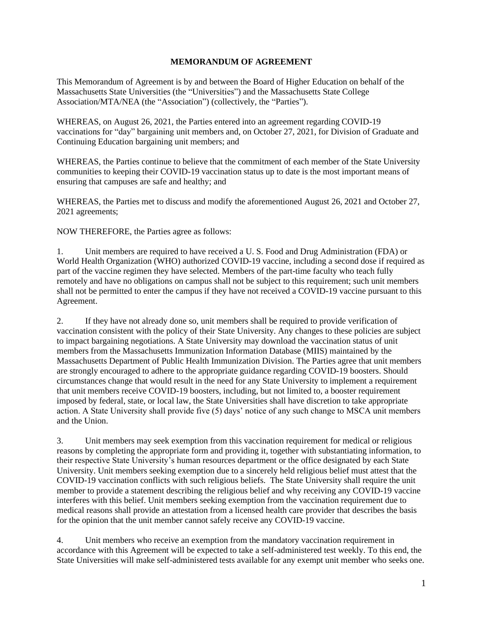## **MEMORANDUM OF AGREEMENT**

This Memorandum of Agreement is by and between the Board of Higher Education on behalf of the Massachusetts State Universities (the "Universities") and the Massachusetts State College Association/MTA/NEA (the "Association") (collectively, the "Parties").

WHEREAS, on August 26, 2021, the Parties entered into an agreement regarding COVID-19 vaccinations for "day" bargaining unit members and, on October 27, 2021, for Division of Graduate and Continuing Education bargaining unit members; and

WHEREAS, the Parties continue to believe that the commitment of each member of the State University communities to keeping their COVID-19 vaccination status up to date is the most important means of ensuring that campuses are safe and healthy; and

WHEREAS, the Parties met to discuss and modify the aforementioned August 26, 2021 and October 27, 2021 agreements;

NOW THEREFORE, the Parties agree as follows:

1. Unit members are required to have received a U. S. Food and Drug Administration (FDA) or World Health Organization (WHO) authorized COVID-19 vaccine, including a second dose if required as part of the vaccine regimen they have selected. Members of the part-time faculty who teach fully remotely and have no obligations on campus shall not be subject to this requirement; such unit members shall not be permitted to enter the campus if they have not received a COVID-19 vaccine pursuant to this Agreement.

2. If they have not already done so, unit members shall be required to provide verification of vaccination consistent with the policy of their State University. Any changes to these policies are subject to impact bargaining negotiations. A State University may download the vaccination status of unit members from the Massachusetts Immunization Information Database (MIIS) maintained by the Massachusetts Department of Public Health Immunization Division. The Parties agree that unit members are strongly encouraged to adhere to the appropriate guidance regarding COVID-19 boosters. Should circumstances change that would result in the need for any State University to implement a requirement that unit members receive COVID-19 boosters, including, but not limited to, a booster requirement imposed by federal, state, or local law, the State Universities shall have discretion to take appropriate action. A State University shall provide five (5) days' notice of any such change to MSCA unit members and the Union.

3. Unit members may seek exemption from this vaccination requirement for medical or religious reasons by completing the appropriate form and providing it, together with substantiating information, to their respective State University's human resources department or the office designated by each State University. Unit members seeking exemption due to a sincerely held religious belief must attest that the COVID-19 vaccination conflicts with such religious beliefs. The State University shall require the unit member to provide a statement describing the religious belief and why receiving any COVID-19 vaccine interferes with this belief. Unit members seeking exemption from the vaccination requirement due to medical reasons shall provide an attestation from a licensed health care provider that describes the basis for the opinion that the unit member cannot safely receive any COVID-19 vaccine.

4. Unit members who receive an exemption from the mandatory vaccination requirement in accordance with this Agreement will be expected to take a self-administered test weekly. To this end, the State Universities will make self-administered tests available for any exempt unit member who seeks one.